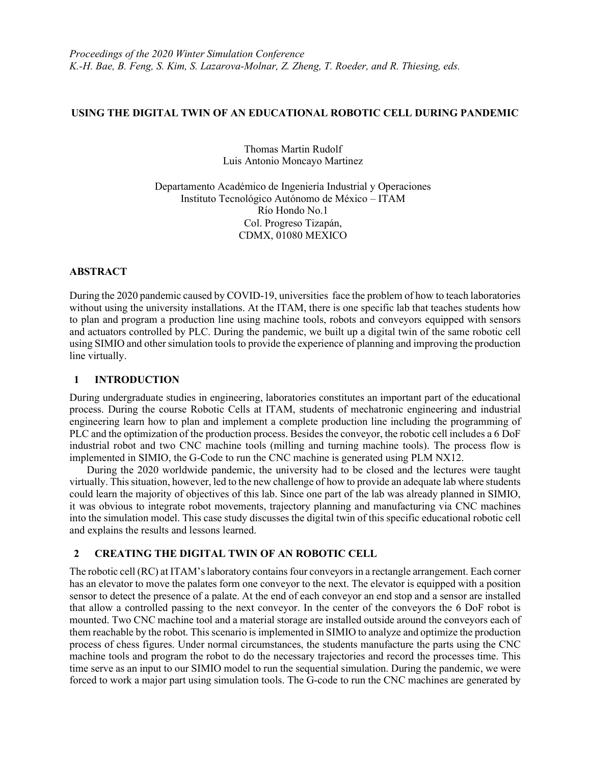### USING THE DIGITAL TWIN OF AN EDUCATIONAL ROBOTIC CELL DURING PANDEMIC

Thomas Martin Rudolf Luis Antonio Moncayo Martinez

Departamento Académico de Ingeniería Industrial y Operaciones Instituto Tecnológico Autónomo de México – ITAM Río Hondo No.1 Col. Progreso Tizapán, CDMX, 01080 MEXICO

#### ABSTRACT

During the 2020 pandemic caused by COVID-19, universities face the problem of how to teach laboratories without using the university installations. At the ITAM, there is one specific lab that teaches students how to plan and program a production line using machine tools, robots and conveyors equipped with sensors and actuators controlled by PLC. During the pandemic, we built up a digital twin of the same robotic cell using SIMIO and other simulation tools to provide the experience of planning and improving the production line virtually.

# 1 INTRODUCTION

During undergraduate studies in engineering, laboratories constitutes an important part of the educational process. During the course Robotic Cells at ITAM, students of mechatronic engineering and industrial engineering learn how to plan and implement a complete production line including the programming of PLC and the optimization of the production process. Besides the conveyor, the robotic cell includes a 6 DoF industrial robot and two CNC machine tools (milling and turning machine tools). The process flow is implemented in SIMIO, the G-Code to run the CNC machine is generated using PLM NX12.

During the 2020 worldwide pandemic, the university had to be closed and the lectures were taught virtually. This situation, however, led to the new challenge of how to provide an adequate lab where students could learn the majority of objectives of this lab. Since one part of the lab was already planned in SIMIO, it was obvious to integrate robot movements, trajectory planning and manufacturing via CNC machines into the simulation model. This case study discusses the digital twin of this specific educational robotic cell and explains the results and lessons learned.

# 2 CREATING THE DIGITAL TWIN OF AN ROBOTIC CELL

The robotic cell (RC) at ITAM's laboratory contains four conveyors in a rectangle arrangement. Each corner has an elevator to move the palates form one conveyor to the next. The elevator is equipped with a position sensor to detect the presence of a palate. At the end of each conveyor an end stop and a sensor are installed that allow a controlled passing to the next conveyor. In the center of the conveyors the 6 DoF robot is mounted. Two CNC machine tool and a material storage are installed outside around the conveyors each of them reachable by the robot. This scenario is implemented in SIMIO to analyze and optimize the production process of chess figures. Under normal circumstances, the students manufacture the parts using the CNC machine tools and program the robot to do the necessary trajectories and record the processes time. This time serve as an input to our SIMIO model to run the sequential simulation. During the pandemic, we were forced to work a major part using simulation tools. The G-code to run the CNC machines are generated by